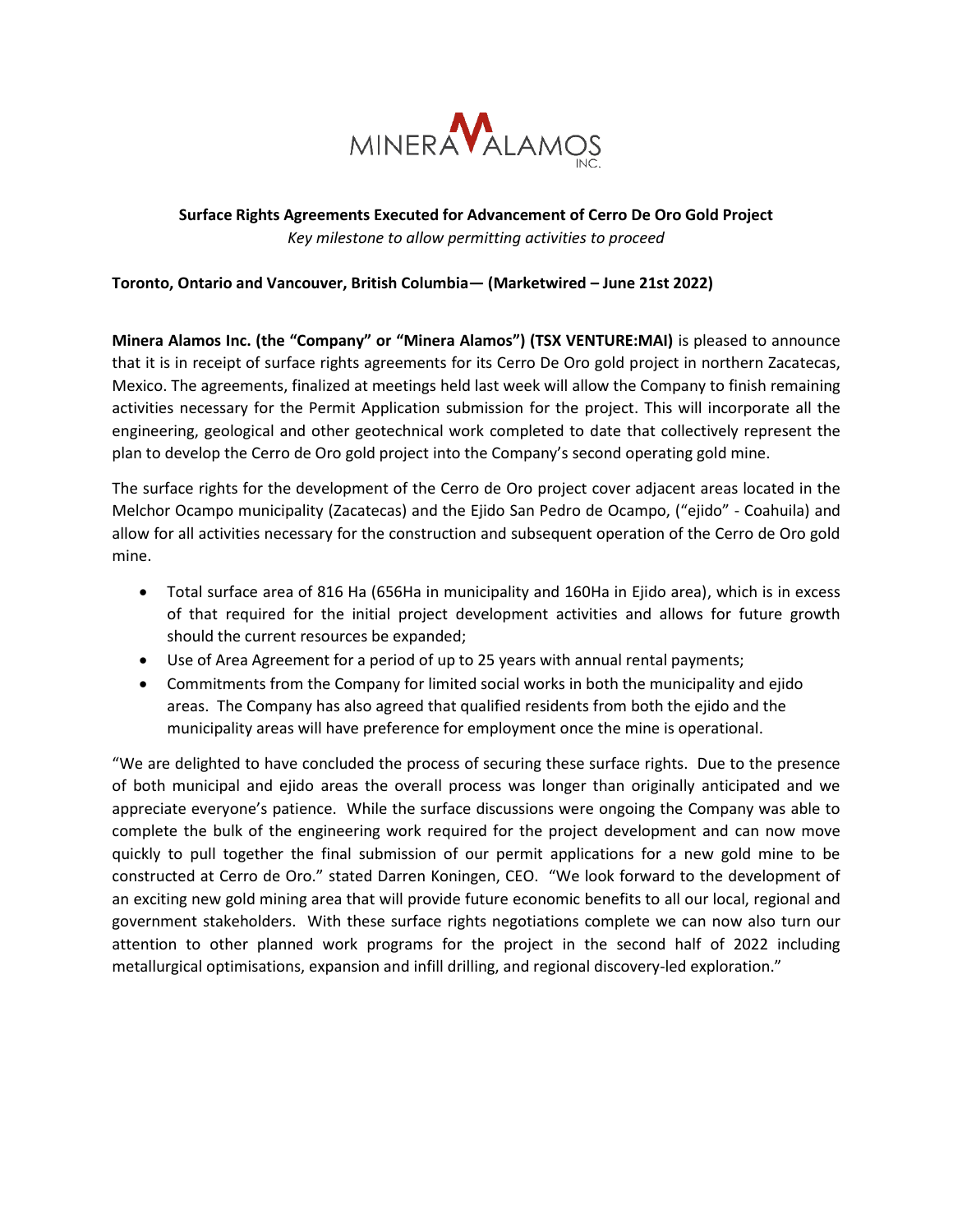

# **Surface Rights Agreements Executed for Advancement of Cerro De Oro Gold Project** *Key milestone to allow permitting activities to proceed*

## **Toronto, Ontario and Vancouver, British Columbia— (Marketwired – June 21st 2022)**

**Minera Alamos Inc. (the "Company" or "Minera Alamos") (TSX VENTURE:MAI)** is pleased to announce that it is in receipt of surface rights agreements for its Cerro De Oro gold project in northern Zacatecas, Mexico. The agreements, finalized at meetings held last week will allow the Company to finish remaining activities necessary for the Permit Application submission for the project. This will incorporate all the engineering, geological and other geotechnical work completed to date that collectively represent the plan to develop the Cerro de Oro gold project into the Company's second operating gold mine.

The surface rights for the development of the Cerro de Oro project cover adjacent areas located in the Melchor Ocampo municipality (Zacatecas) and the Ejido San Pedro de Ocampo, ("ejido" - Coahuila) and allow for all activities necessary for the construction and subsequent operation of the Cerro de Oro gold mine.

- Total surface area of 816 Ha (656Ha in municipality and 160Ha in Ejido area), which is in excess of that required for the initial project development activities and allows for future growth should the current resources be expanded;
- Use of Area Agreement for a period of up to 25 years with annual rental payments;
- Commitments from the Company for limited social works in both the municipality and ejido areas. The Company has also agreed that qualified residents from both the ejido and the municipality areas will have preference for employment once the mine is operational.

"We are delighted to have concluded the process of securing these surface rights. Due to the presence of both municipal and ejido areas the overall process was longer than originally anticipated and we appreciate everyone's patience. While the surface discussions were ongoing the Company was able to complete the bulk of the engineering work required for the project development and can now move quickly to pull together the final submission of our permit applications for a new gold mine to be constructed at Cerro de Oro." stated Darren Koningen, CEO. "We look forward to the development of an exciting new gold mining area that will provide future economic benefits to all our local, regional and government stakeholders. With these surface rights negotiations complete we can now also turn our attention to other planned work programs for the project in the second half of 2022 including metallurgical optimisations, expansion and infill drilling, and regional discovery-led exploration."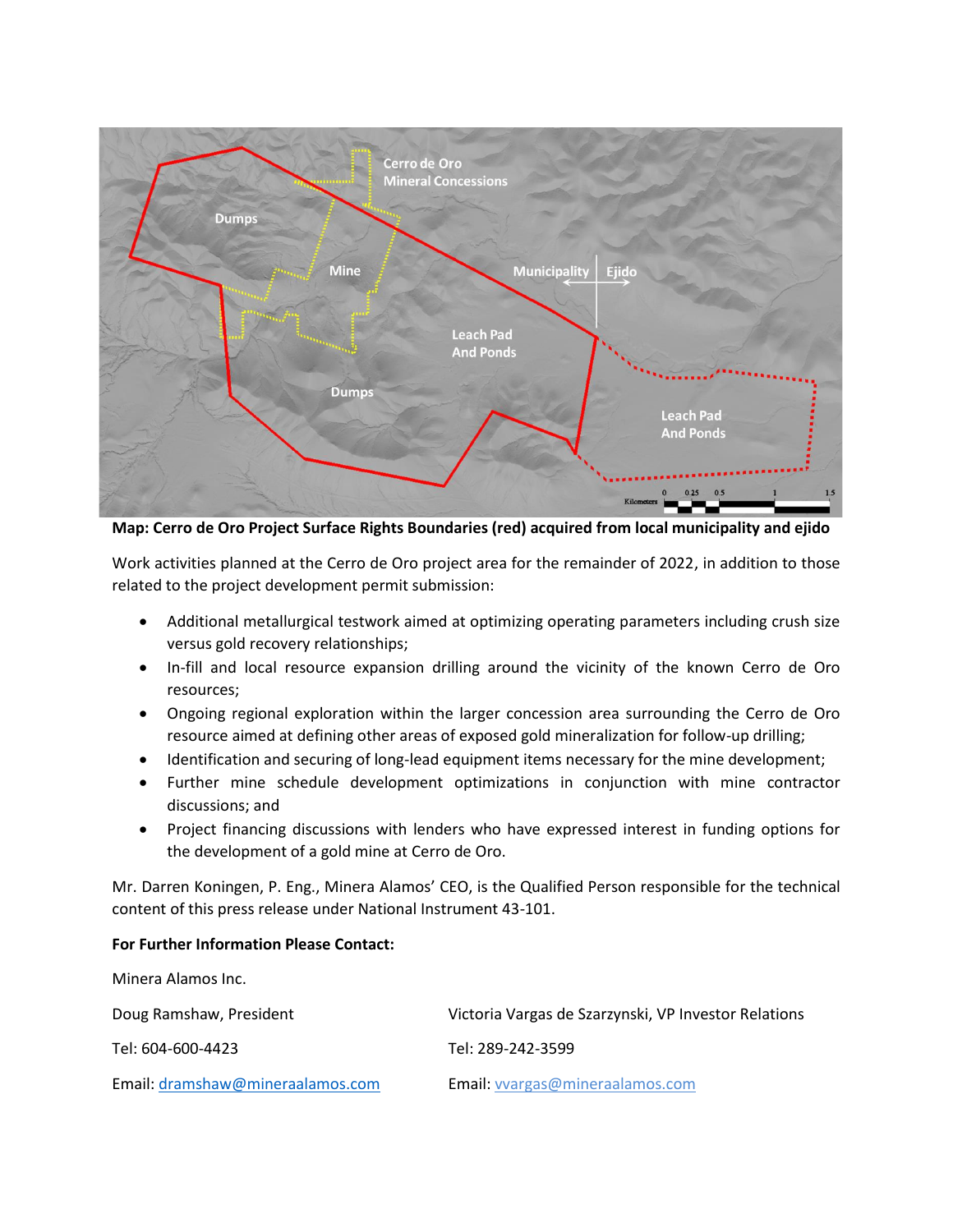

**Map: Cerro de Oro Project Surface Rights Boundaries (red) acquired from local municipality and ejido**

Work activities planned at the Cerro de Oro project area for the remainder of 2022, in addition to those related to the project development permit submission:

- Additional metallurgical testwork aimed at optimizing operating parameters including crush size versus gold recovery relationships;
- In-fill and local resource expansion drilling around the vicinity of the known Cerro de Oro resources;
- Ongoing regional exploration within the larger concession area surrounding the Cerro de Oro resource aimed at defining other areas of exposed gold mineralization for follow-up drilling;
- Identification and securing of long-lead equipment items necessary for the mine development;
- Further mine schedule development optimizations in conjunction with mine contractor discussions; and
- Project financing discussions with lenders who have expressed interest in funding options for the development of a gold mine at Cerro de Oro.

Mr. Darren Koningen, P. Eng., Minera Alamos' CEO, is the Qualified Person responsible for the technical content of this press release under National Instrument 43-101.

### **For Further Information Please Contact:**

Minera Alamos Inc.

| Doug Ramshaw, President          | Victoria Vargas de Szarzynski, VP Investor Relations |
|----------------------------------|------------------------------------------------------|
| Tel: 604-600-4423                | Tel: 289-242-3599                                    |
| Email: dramshaw@mineraalamos.com | Email: vvargas@mineraalamos.com                      |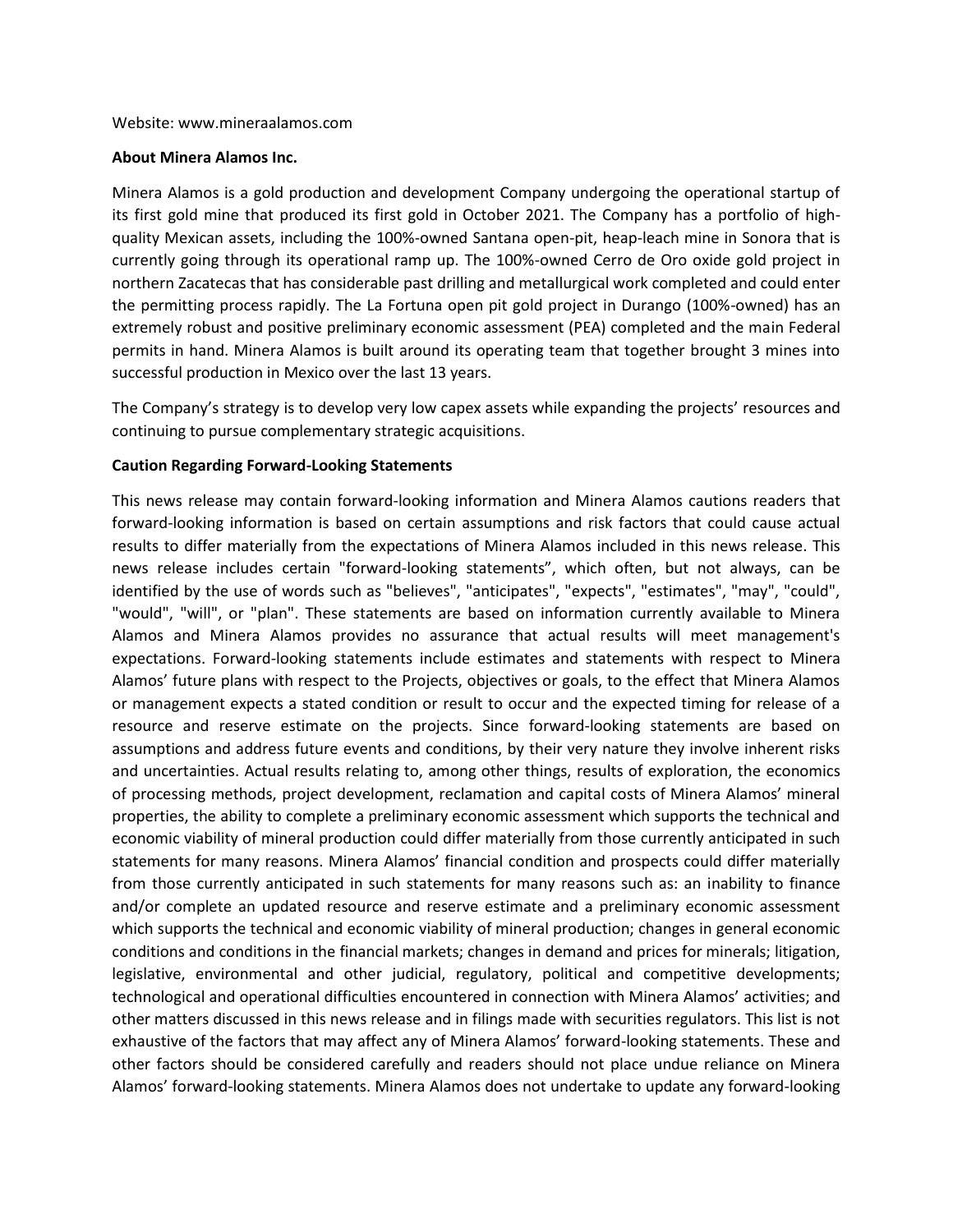#### **About Minera Alamos Inc.**

Minera Alamos is a gold production and development Company undergoing the operational startup of its first gold mine that produced its first gold in October 2021. The Company has a portfolio of highquality Mexican assets, including the 100%-owned Santana open-pit, heap-leach mine in Sonora that is currently going through its operational ramp up. The 100%-owned Cerro de Oro oxide gold project in northern Zacatecas that has considerable past drilling and metallurgical work completed and could enter the permitting process rapidly. The La Fortuna open pit gold project in Durango (100%-owned) has an extremely robust and positive preliminary economic assessment (PEA) completed and the main Federal permits in hand. Minera Alamos is built around its operating team that together brought 3 mines into successful production in Mexico over the last 13 years.

The Company's strategy is to develop very low capex assets while expanding the projects' resources and continuing to pursue complementary strategic acquisitions.

### **Caution Regarding Forward-Looking Statements**

This news release may contain forward-looking information and Minera Alamos cautions readers that forward-looking information is based on certain assumptions and risk factors that could cause actual results to differ materially from the expectations of Minera Alamos included in this news release. This news release includes certain "forward-looking statements", which often, but not always, can be identified by the use of words such as "believes", "anticipates", "expects", "estimates", "may", "could", "would", "will", or "plan". These statements are based on information currently available to Minera Alamos and Minera Alamos provides no assurance that actual results will meet management's expectations. Forward-looking statements include estimates and statements with respect to Minera Alamos' future plans with respect to the Projects, objectives or goals, to the effect that Minera Alamos or management expects a stated condition or result to occur and the expected timing for release of a resource and reserve estimate on the projects. Since forward-looking statements are based on assumptions and address future events and conditions, by their very nature they involve inherent risks and uncertainties. Actual results relating to, among other things, results of exploration, the economics of processing methods, project development, reclamation and capital costs of Minera Alamos' mineral properties, the ability to complete a preliminary economic assessment which supports the technical and economic viability of mineral production could differ materially from those currently anticipated in such statements for many reasons. Minera Alamos' financial condition and prospects could differ materially from those currently anticipated in such statements for many reasons such as: an inability to finance and/or complete an updated resource and reserve estimate and a preliminary economic assessment which supports the technical and economic viability of mineral production; changes in general economic conditions and conditions in the financial markets; changes in demand and prices for minerals; litigation, legislative, environmental and other judicial, regulatory, political and competitive developments; technological and operational difficulties encountered in connection with Minera Alamos' activities; and other matters discussed in this news release and in filings made with securities regulators. This list is not exhaustive of the factors that may affect any of Minera Alamos' forward-looking statements. These and other factors should be considered carefully and readers should not place undue reliance on Minera Alamos' forward-looking statements. Minera Alamos does not undertake to update any forward-looking